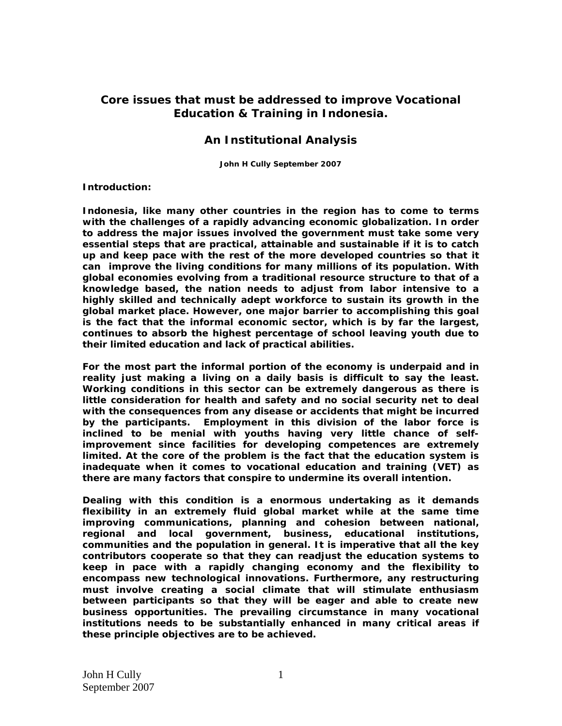## **Core issues that must be addressed to improve Vocational Education & Training in Indonesia.**

## **An Institutional Analysis**

 **John H Cully September 2007** 

## **Introduction:**

**Indonesia, like many other countries in the region has to come to terms with the challenges of a rapidly advancing economic globalization. In order to address the major issues involved the government must take some very essential steps that are practical, attainable and sustainable if it is to catch up and keep pace with the rest of the more developed countries so that it can improve the living conditions for many millions of its population. With global economies evolving from a traditional resource structure to that of a knowledge based, the nation needs to adjust from labor intensive to a highly skilled and technically adept workforce to sustain its growth in the global market place. However, one major barrier to accomplishing this goal is the fact that the informal economic sector, which is by far the largest, continues to absorb the highest percentage of school leaving youth due to their limited education and lack of practical abilities.** 

**For the most part the informal portion of the economy is underpaid and in reality just making a living on a daily basis is difficult to say the least. Working conditions in this sector can be extremely dangerous as there is little consideration for health and safety and no social security net to deal with the consequences from any disease or accidents that might be incurred by the participants. Employment in this division of the labor force is inclined to be menial with youths having very little chance of selfimprovement since facilities for developing competences are extremely limited. At the core of the problem is the fact that the education system is inadequate when it comes to vocational education and training (VET) as there are many factors that conspire to undermine its overall intention.** 

**Dealing with this condition is a enormous undertaking as it demands flexibility in an extremely fluid global market while at the same time improving communications, planning and cohesion between national, regional and local government, business, educational institutions, communities and the population in general. It is imperative that all the key contributors cooperate so that they can readjust the education systems to keep in pace with a rapidly changing economy and the flexibility to encompass new technological innovations. Furthermore, any restructuring must involve creating a social climate that will stimulate enthusiasm between participants so that they will be eager and able to create new business opportunities. The prevailing circumstance in many vocational institutions needs to be substantially enhanced in many critical areas if these principle objectives are to be achieved.**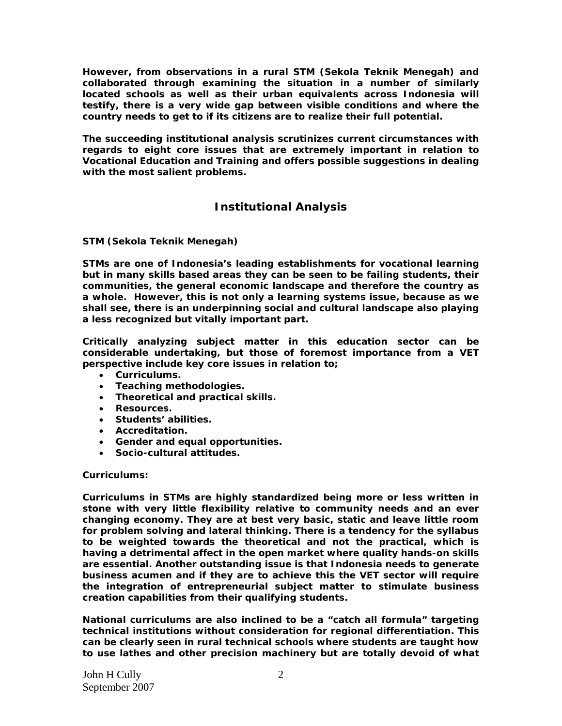**However, from observations in a rural STM (Sekola Teknik Menegah) and collaborated through examining the situation in a number of similarly located schools as well as their urban equivalents across Indonesia will testify, there is a very wide gap between visible conditions and where the country needs to get to if its citizens are to realize their full potential.** 

**The succeeding institutional analysis scrutinizes current circumstances with regards to eight core issues that are extremely important in relation to Vocational Education and Training and offers possible suggestions in dealing with the most salient problems.** 

# **Institutional Analysis**

## **STM (Sekola Teknik Menegah)**

**STMs are one of Indonesia's leading establishments for vocational learning but in many skills based areas they can be seen to be failing students, their communities, the general economic landscape and therefore the country as a whole. However, this is not only a learning systems issue, because as we shall see, there is an underpinning social and cultural landscape also playing a less recognized but vitally important part.** 

**Critically analyzing subject matter in this education sector can be considerable undertaking, but those of foremost importance from a VET perspective include key core issues in relation to;** 

- **Curriculums.**
- **Teaching methodologies.**
- **Theoretical and practical skills.**
- **Resources.**
- **Students' abilities.**
- **Accreditation.**
- **Gender and equal opportunities.**
- **Socio-cultural attitudes.**

## **Curriculums:**

**Curriculums in STMs are highly standardized being more or less written in stone with very little flexibility relative to community needs and an ever changing economy. They are at best very basic, static and leave little room for problem solving and lateral thinking. There is a tendency for the syllabus to be weighted towards the theoretical and not the practical, which is having a detrimental affect in the open market where quality hands-on skills are essential. Another outstanding issue is that Indonesia needs to generate business acumen and if they are to achieve this the VET sector will require the integration of entrepreneurial subject matter to stimulate business creation capabilities from their qualifying students.** 

**National curriculums are also inclined to be a "catch all formula" targeting technical institutions without consideration for regional differentiation. This can be clearly seen in rural technical schools where students are taught how to use lathes and other precision machinery but are totally devoid of what**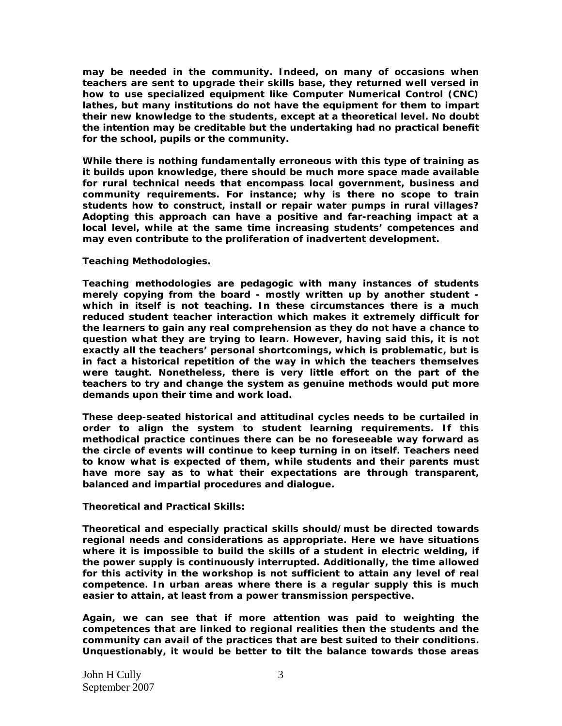**may be needed in the community. Indeed, on many of occasions when teachers are sent to upgrade their skills base, they returned well versed in how to use specialized equipment like Computer Numerical Control (CNC) lathes, but many institutions do not have the equipment for them to impart their new knowledge to the students, except at a theoretical level. No doubt the intention may be creditable but the undertaking had no practical benefit for the school, pupils or the community.** 

**While there is nothing fundamentally erroneous with this type of training as it builds upon knowledge, there should be much more space made available for rural technical needs that encompass local government, business and community requirements. For instance; why is there no scope to train students how to construct, install or repair water pumps in rural villages? Adopting this approach can have a positive and far-reaching impact at a local level, while at the same time increasing students' competences and may even contribute to the proliferation of inadvertent development.** 

#### **Teaching Methodologies.**

**Teaching methodologies are pedagogic with many instances of students merely copying from the board - mostly written up by another student which in itself is not teaching. In these circumstances there is a much reduced student teacher interaction which makes it extremely difficult for the learners to gain any real comprehension as they do not have a chance to question what they are trying to learn. However, having said this, it is not exactly all the teachers' personal shortcomings, which is problematic, but is in fact a historical repetition of the way in which the teachers themselves were taught. Nonetheless, there is very little effort on the part of the teachers to try and change the system as genuine methods would put more demands upon their time and work load.** 

**These deep-seated historical and attitudinal cycles needs to be curtailed in order to align the system to student learning requirements. If this methodical practice continues there can be no foreseeable way forward as the circle of events will continue to keep turning in on itself. Teachers need to know what is expected of them, while students and their parents must have more say as to what their expectations are through transparent, balanced and impartial procedures and dialogue.** 

**Theoretical and Practical Skills:** 

**Theoretical and especially practical skills should/must be directed towards regional needs and considerations as appropriate. Here we have situations where it is impossible to build the skills of a student in electric welding, if the power supply is continuously interrupted. Additionally, the time allowed for this activity in the workshop is not sufficient to attain any level of real competence. In urban areas where there is a regular supply this is much easier to attain, at least from a power transmission perspective.** 

**Again, we can see that if more attention was paid to weighting the competences that are linked to regional realities then the students and the community can avail of the practices that are best suited to their conditions. Unquestionably, it would be better to tilt the balance towards those areas**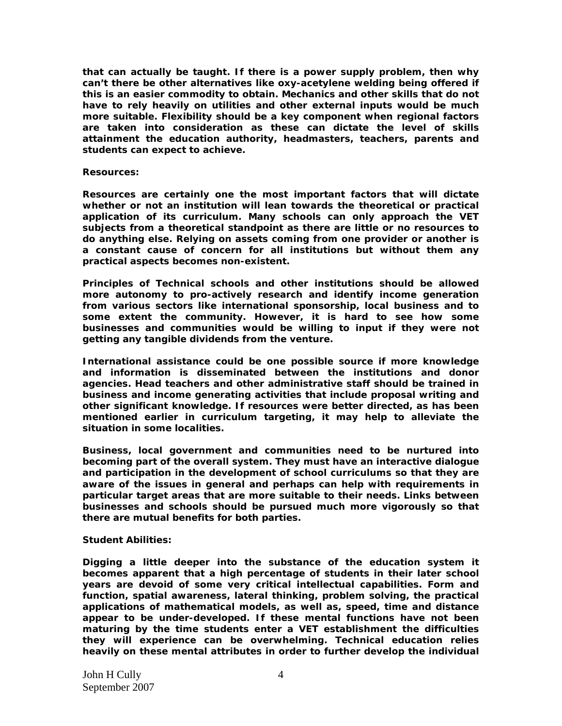**that can actually be taught. If there is a power supply problem, then why can't there be other alternatives like oxy-acetylene welding being offered if this is an easier commodity to obtain. Mechanics and other skills that do not have to rely heavily on utilities and other external inputs would be much more suitable. Flexibility should be a key component when regional factors are taken into consideration as these can dictate the level of skills attainment the education authority, headmasters, teachers, parents and students can expect to achieve.** 

#### **Resources:**

**Resources are certainly one the most important factors that will dictate whether or not an institution will lean towards the theoretical or practical application of its curriculum. Many schools can only approach the VET subjects from a theoretical standpoint as there are little or no resources to do anything else. Relying on assets coming from one provider or another is a constant cause of concern for all institutions but without them any practical aspects becomes non-existent.** 

**Principles of Technical schools and other institutions should be allowed more autonomy to pro-actively research and identify income generation from various sectors like international sponsorship, local business and to some extent the community. However, it is hard to see how some businesses and communities would be willing to input if they were not getting any tangible dividends from the venture.** 

**International assistance could be one possible source if more knowledge and information is disseminated between the institutions and donor agencies. Head teachers and other administrative staff should be trained in business and income generating activities that include proposal writing and other significant knowledge. If resources were better directed, as has been mentioned earlier in curriculum targeting, it may help to alleviate the situation in some localities.** 

**Business, local government and communities need to be nurtured into becoming part of the overall system. They must have an interactive dialogue and participation in the development of school curriculums so that they are aware of the issues in general and perhaps can help with requirements in particular target areas that are more suitable to their needs. Links between businesses and schools should be pursued much more vigorously so that there are mutual benefits for both parties.** 

#### **Student Abilities:**

**Digging a little deeper into the substance of the education system it becomes apparent that a high percentage of students in their later school years are devoid of some very critical intellectual capabilities. Form and function, spatial awareness, lateral thinking, problem solving, the practical applications of mathematical models, as well as, speed, time and distance appear to be under-developed. If these mental functions have not been maturing by the time students enter a VET establishment the difficulties they will experience can be overwhelming. Technical education relies heavily on these mental attributes in order to further develop the individual**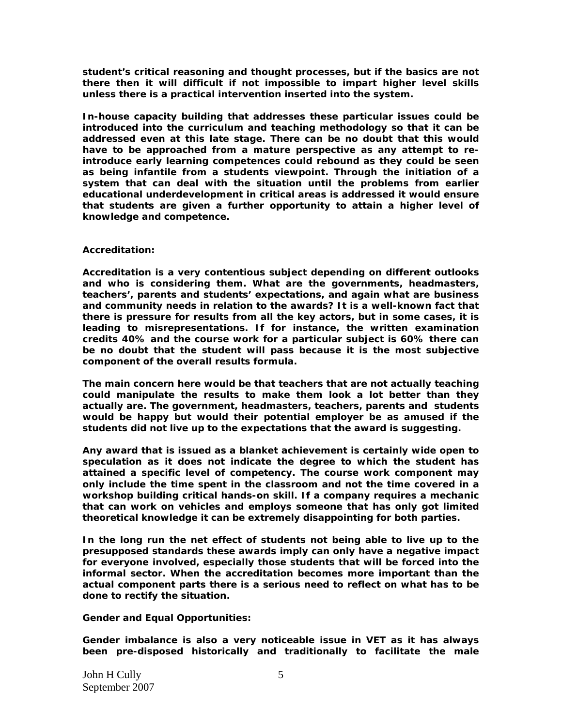**student's critical reasoning and thought processes, but if the basics are not there then it will difficult if not impossible to impart higher level skills unless there is a practical intervention inserted into the system.** 

**In-house capacity building that addresses these particular issues could be introduced into the curriculum and teaching methodology so that it can be addressed even at this late stage. There can be no doubt that this would have to be approached from a mature perspective as any attempt to reintroduce early learning competences could rebound as they could be seen as being infantile from a students viewpoint. Through the initiation of a system that can deal with the situation until the problems from earlier educational underdevelopment in critical areas is addressed it would ensure that students are given a further opportunity to attain a higher level of knowledge and competence.** 

## **Accreditation:**

**Accreditation is a very contentious subject depending on different outlooks and who is considering them. What are the governments, headmasters, teachers', parents and students' expectations, and again what are business and community needs in relation to the awards? It is a well-known fact that there is pressure for results from all the key actors, but in some cases, it is leading to misrepresentations. If for instance, the written examination credits 40% and the course work for a particular subject is 60% there can be no doubt that the student will pass because it is the most subjective component of the overall results formula.** 

**The main concern here would be that teachers that are not actually teaching could manipulate the results to make them look a lot better than they actually are. The government, headmasters, teachers, parents and students would be happy but would their potential employer be as amused if the students did not live up to the expectations that the award is suggesting.** 

**Any award that is issued as a blanket achievement is certainly wide open to speculation as it does not indicate the degree to which the student has attained a specific level of competency. The course work component may only include the time spent in the classroom and not the time covered in a workshop building critical hands-on skill. If a company requires a mechanic that can work on vehicles and employs someone that has only got limited theoretical knowledge it can be extremely disappointing for both parties.** 

**In the long run the net effect of students not being able to live up to the presupposed standards these awards imply can only have a negative impact for everyone involved, especially those students that will be forced into the informal sector. When the accreditation becomes more important than the actual component parts there is a serious need to reflect on what has to be done to rectify the situation.** 

**Gender and Equal Opportunities:** 

**Gender imbalance is also a very noticeable issue in VET as it has always been pre-disposed historically and traditionally to facilitate the male**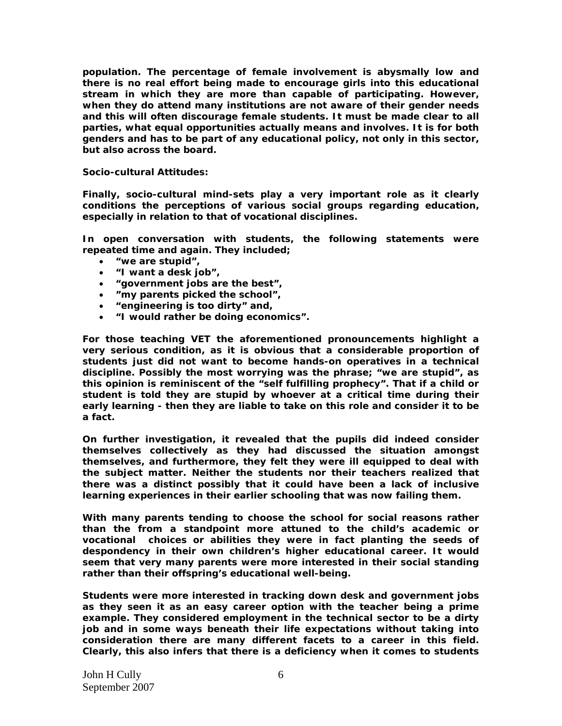**population. The percentage of female involvement is abysmally low and there is no real effort being made to encourage girls into this educational stream in which they are more than capable of participating. However, when they do attend many institutions are not aware of their gender needs and this will often discourage female students. It must be made clear to all parties, what equal opportunities actually means and involves. It is for both genders and has to be part of any educational policy, not only in this sector, but also across the board.** 

**Socio-cultural Attitudes:** 

**Finally, socio-cultural mind-sets play a very important role as it clearly conditions the perceptions of various social groups regarding education, especially in relation to that of vocational disciplines.** 

**In open conversation with students, the following statements were repeated time and again. They included;** 

- **"we are stupid",**
- **"I want a desk job",**
- **"government jobs are the best",**
- **"my parents picked the school",**
- **"engineering is too dirty" and,**
- **"I would rather be doing economics".**

**For those teaching VET the aforementioned pronouncements highlight a very serious condition, as it is obvious that a considerable proportion of students just did not want to become hands-on operatives in a technical discipline. Possibly the most worrying was the phrase; "we are stupid", as this opinion is reminiscent of the "self fulfilling prophecy". That if a child or student is told they are stupid by whoever at a critical time during their early learning - then they are liable to take on this role and consider it to be a fact.** 

**On further investigation, it revealed that the pupils did indeed consider themselves collectively as they had discussed the situation amongst themselves, and furthermore, they felt they were ill equipped to deal with the subject matter. Neither the students nor their teachers realized that there was a distinct possibly that it could have been a lack of inclusive learning experiences in their earlier schooling that was now failing them.** 

**With many parents tending to choose the school for social reasons rather than the from a standpoint more attuned to the child's academic or vocational choices or abilities they were in fact planting the seeds of despondency in their own children's higher educational career. It would seem that very many parents were more interested in their social standing rather than their offspring's educational well-being.** 

**Students were more interested in tracking down desk and government jobs as they seen it as an easy career option with the teacher being a prime example. They considered employment in the technical sector to be a dirty job and in some ways beneath their life expectations without taking into consideration there are many different facets to a career in this field. Clearly, this also infers that there is a deficiency when it comes to students**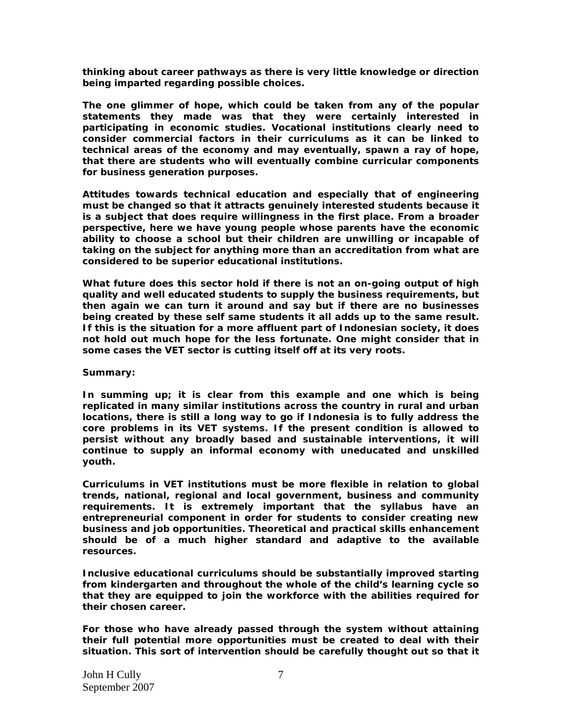**thinking about career pathways as there is very little knowledge or direction being imparted regarding possible choices.** 

**The one glimmer of hope, which could be taken from any of the popular statements they made was that they were certainly interested in participating in economic studies. Vocational institutions clearly need to consider commercial factors in their curriculums as it can be linked to technical areas of the economy and may eventually, spawn a ray of hope, that there are students who will eventually combine curricular components for business generation purposes.** 

**Attitudes towards technical education and especially that of engineering must be changed so that it attracts genuinely interested students because it is a subject that does require willingness in the first place. From a broader perspective, here we have young people whose parents have the economic ability to choose a school but their children are unwilling or incapable of taking on the subject for anything more than an accreditation from what are considered to be superior educational institutions.** 

**What future does this sector hold if there is not an on-going output of high quality and well educated students to supply the business requirements, but then again we can turn it around and say but if there are no businesses being created by these self same students it all adds up to the same result. If this is the situation for a more affluent part of Indonesian society, it does not hold out much hope for the less fortunate. One might consider that in some cases the VET sector is cutting itself off at its very roots.** 

## **Summary:**

**In summing up; it is clear from this example and one which is being replicated in many similar institutions across the country in rural and urban locations, there is still a long way to go if Indonesia is to fully address the core problems in its VET systems. If the present condition is allowed to persist without any broadly based and sustainable interventions, it will continue to supply an informal economy with uneducated and unskilled youth.** 

**Curriculums in VET institutions must be more flexible in relation to global trends, national, regional and local government, business and community requirements. It is extremely important that the syllabus have an entrepreneurial component in order for students to consider creating new business and job opportunities. Theoretical and practical skills enhancement should be of a much higher standard and adaptive to the available resources.** 

**Inclusive educational curriculums should be substantially improved starting from kindergarten and throughout the whole of the child's learning cycle so that they are equipped to join the workforce with the abilities required for their chosen career.** 

**For those who have already passed through the system without attaining their full potential more opportunities must be created to deal with their situation. This sort of intervention should be carefully thought out so that it**